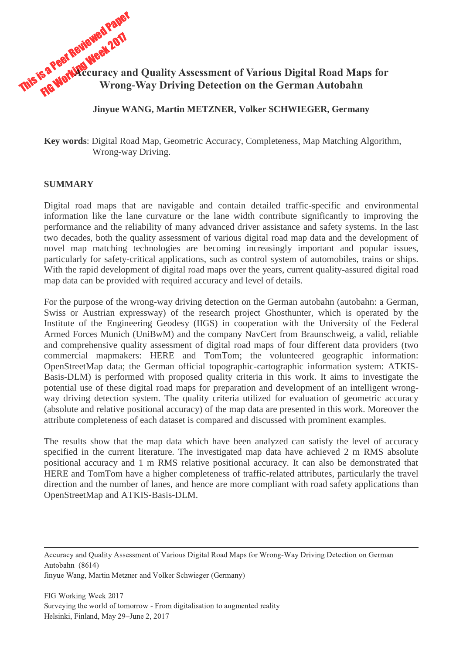

**Jinyue WANG, Martin METZNER, Volker SCHWIEGER, Germany**

**Key words**: Digital Road Map, Geometric Accuracy, Completeness, Map Matching Algorithm, Wrong-way Driving.

#### **SUMMARY**

Digital road maps that are navigable and contain detailed traffic-specific and environmental information like the lane curvature or the lane width contribute significantly to improving the performance and the reliability of many advanced driver assistance and safety systems. In the last two decades, both the quality assessment of various digital road map data and the development of novel map matching technologies are becoming increasingly important and popular issues, particularly for safety-critical applications, such as control system of automobiles, trains or ships. With the rapid development of digital road maps over the years, current quality-assured digital road map data can be provided with required accuracy and level of details.

For the purpose of the wrong-way driving detection on the German autobahn (autobahn: a German, Swiss or Austrian expressway) of the research project Ghosthunter, which is operated by the Institute of the Engineering Geodesy (IIGS) in cooperation with the University of the Federal Armed Forces Munich (UniBwM) and the company NavCert from Braunschweig, a valid, reliable and comprehensive quality assessment of digital road maps of four different data providers (two commercial mapmakers: HERE and TomTom; the volunteered geographic information: OpenStreetMap data; the German official topographic-cartographic information system: ATKIS-Basis-DLM) is performed with proposed quality criteria in this work. It aims to investigate the potential use of these digital road maps for preparation and development of an intelligent wrongway driving detection system. The quality criteria utilized for evaluation of geometric accuracy (absolute and relative positional accuracy) of the map data are presented in this work. Moreover the attribute completeness of each dataset is compared and discussed with prominent examples.

The results show that the map data which have been analyzed can satisfy the level of accuracy specified in the current literature. The investigated map data have achieved 2 m RMS absolute positional accuracy and 1 m RMS relative positional accuracy. It can also be demonstrated that HERE and TomTom have a higher completeness of traffic-related attributes, particularly the travel direction and the number of lanes, and hence are more compliant with road safety applications than OpenStreetMap and ATKIS-Basis-DLM.

Accuracy and Quality Assessment of Various Digital Road Maps for Wrong-Way Driving Detection on German Autobahn (8614)

Jinyue Wang, Martin Metzner and Volker Schwieger (Germany)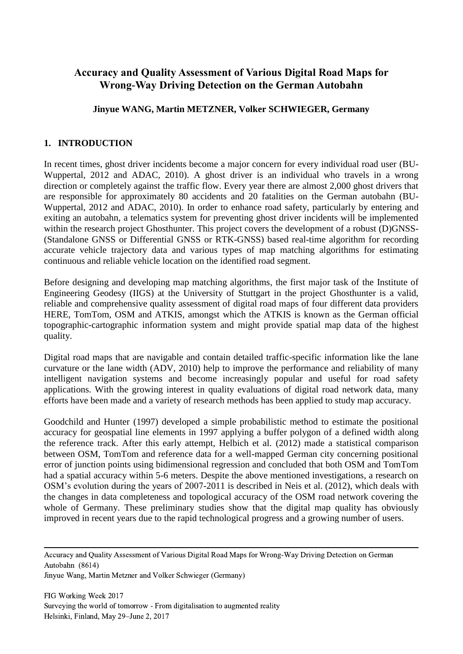# **Accuracy and Quality Assessment of Various Digital Road Maps for Wrong-Way Driving Detection on the German Autobahn**

# **Jinyue WANG, Martin METZNER, Volker SCHWIEGER, Germany**

## **1. INTRODUCTION**

In recent times, ghost driver incidents become a major concern for every individual road user (BU-Wuppertal, 2012 and ADAC, 2010). A ghost driver is an individual who travels in a wrong direction or completely against the traffic flow. Every year there are almost 2,000 ghost drivers that are responsible for approximately 80 accidents and 20 fatalities on the German autobahn (BU-Wuppertal, 2012 and ADAC, 2010). In order to enhance road safety, particularly by entering and exiting an autobahn, a telematics system for preventing ghost driver incidents will be implemented within the research project Ghosthunter. This project covers the development of a robust (D)GNSS-(Standalone GNSS or Differential GNSS or RTK-GNSS) based real-time algorithm for recording accurate vehicle trajectory data and various types of map matching algorithms for estimating continuous and reliable vehicle location on the identified road segment.

Before designing and developing map matching algorithms, the first major task of the Institute of Engineering Geodesy (IIGS) at the University of Stuttgart in the project Ghosthunter is a valid, reliable and comprehensive quality assessment of digital road maps of four different data providers HERE, TomTom, OSM and ATKIS, amongst which the ATKIS is known as the German official topographic-cartographic information system and might provide spatial map data of the highest quality.

Digital road maps that are navigable and contain detailed traffic-specific information like the lane curvature or the lane width (ADV, 2010) help to improve the performance and reliability of many intelligent navigation systems and become increasingly popular and useful for road safety applications. With the growing interest in quality evaluations of digital road network data, many efforts have been made and a variety of research methods has been applied to study map accuracy.

Goodchild and Hunter (1997) developed a simple probabilistic method to estimate the positional accuracy for geospatial line elements in 1997 applying a buffer polygon of a defined width along the reference track. After this early attempt, Helbich et al. (2012) made a statistical comparison between OSM, TomTom and reference data for a well-mapped German city concerning positional error of junction points using bidimensional regression and concluded that both OSM and TomTom had a spatial accuracy within 5-6 meters. Despite the above mentioned investigations, a research on OSM's evolution during the years of 2007-2011 is described in Neis et al. (2012), which deals with the changes in data completeness and topological accuracy of the OSM road network covering the whole of Germany. These preliminary studies show that the digital map quality has obviously improved in recent years due to the rapid technological progress and a growing number of users.

Accuracy and Quality Assessment of Various Digital Road Maps for Wrong-Way Driving Detection on German Autobahn (8614)

Jinyue Wang, Martin Metzner and Volker Schwieger (Germany)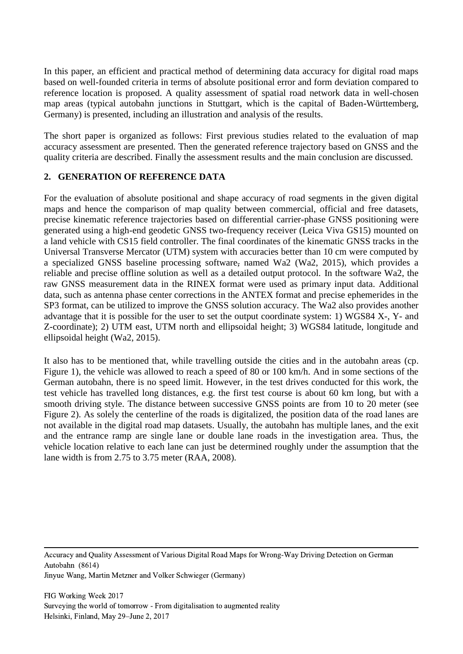In this paper, an efficient and practical method of determining data accuracy for digital road maps based on well-founded criteria in terms of absolute positional error and form deviation compared to reference location is proposed. A quality assessment of spatial road network data in well-chosen map areas (typical autobahn junctions in Stuttgart, which is the capital of Baden-Württemberg, Germany) is presented, including an illustration and analysis of the results.

The short paper is organized as follows: First previous studies related to the evaluation of map accuracy assessment are presented. Then the generated reference trajectory based on GNSS and the quality criteria are described. Finally the assessment results and the main conclusion are discussed.

## **2. GENERATION OF REFERENCE DATA**

For the evaluation of absolute positional and shape accuracy of road segments in the given digital maps and hence the comparison of map quality between commercial, official and free datasets, precise kinematic reference trajectories based on differential carrier-phase GNSS positioning were generated using a high-end geodetic GNSS two-frequency receiver (Leica Viva GS15) mounted on a land vehicle with CS15 field controller. The final coordinates of the kinematic GNSS tracks in the Universal Transverse Mercator (UTM) system with accuracies better than 10 cm were computed by a specialized GNSS baseline processing software, named Wa2 (Wa2, 2015), which provides a reliable and precise offline solution as well as a detailed output protocol. In the software Wa2, the raw GNSS measurement data in the RINEX format were used as primary input data. Additional data, such as antenna phase center corrections in the ANTEX format and precise ephemerides in the SP3 format, can be utilized to improve the GNSS solution accuracy. The Wa2 also provides another advantage that it is possible for the user to set the output coordinate system: 1) WGS84 X-, Y- and Z-coordinate); 2) UTM east, UTM north and ellipsoidal height; 3) WGS84 latitude, longitude and ellipsoidal height (Wa2, 2015).

It also has to be mentioned that, while travelling outside the cities and in the autobahn areas (cp. Figure 1), the vehicle was allowed to reach a speed of 80 or 100 km/h. And in some sections of the German autobahn, there is no speed limit. However, in the test drives conducted for this work, the test vehicle has travelled long distances, e.g. the first test course is about 60 km long, but with a smooth driving style. The distance between successive GNSS points are from 10 to 20 meter (see Figure 2). As solely the centerline of the roads is digitalized, the position data of the road lanes are not available in the digital road map datasets. Usually, the autobahn has multiple lanes, and the exit and the entrance ramp are single lane or double lane roads in the investigation area. Thus, the vehicle location relative to each lane can just be determined roughly under the assumption that the lane width is from 2.75 to 3.75 meter (RAA, 2008).

Accuracy and Quality Assessment of Various Digital Road Maps for Wrong-Way Driving Detection on German Autobahn (8614)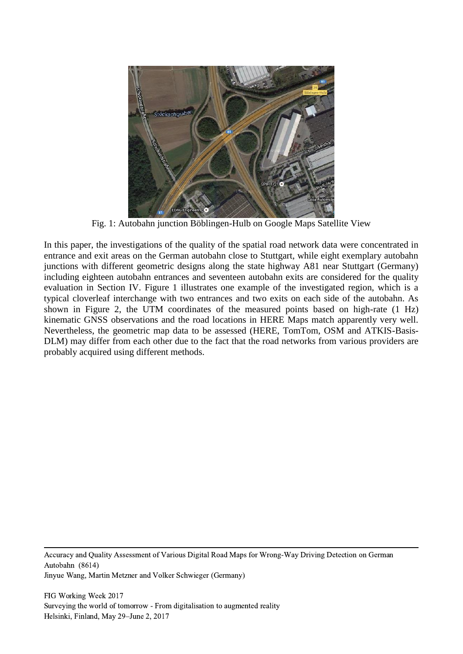

Fig. 1: Autobahn junction Böblingen-Hulb on Google Maps Satellite View

In this paper, the investigations of the quality of the spatial road network data were concentrated in entrance and exit areas on the German autobahn close to Stuttgart, while eight exemplary autobahn junctions with different geometric designs along the state highway A81 near Stuttgart (Germany) including eighteen autobahn entrances and seventeen autobahn exits are considered for the quality evaluation in Section IV. Figure 1 illustrates one example of the investigated region, which is a typical cloverleaf interchange with two entrances and two exits on each side of the autobahn. As shown in Figure 2, the UTM coordinates of the measured points based on high-rate (1 Hz) kinematic GNSS observations and the road locations in HERE Maps match apparently very well. Nevertheless, the geometric map data to be assessed (HERE, TomTom, OSM and ATKIS-Basis-DLM) may differ from each other due to the fact that the road networks from various providers are probably acquired using different methods.

Accuracy and Quality Assessment of Various Digital Road Maps for Wrong-Way Driving Detection on German Autobahn (8614)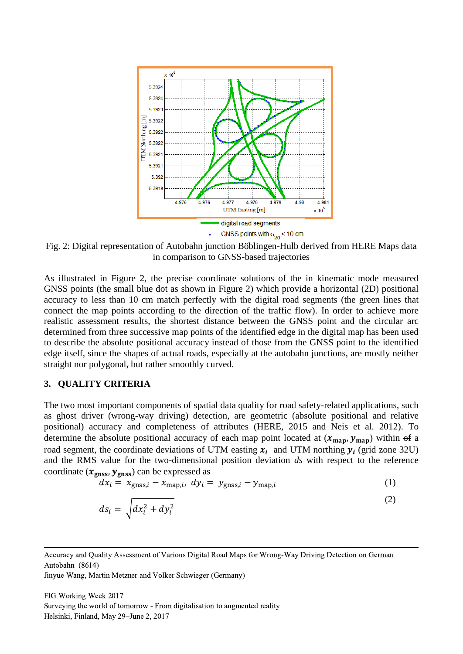

Fig. 2: Digital representation of Autobahn junction Böblingen-Hulb derived from HERE Maps data in comparison to GNSS-based trajectories

As illustrated in Figure 2, the precise coordinate solutions of the in kinematic mode measured GNSS points (the small blue dot as shown in Figure 2) which provide a horizontal (2D) positional accuracy to less than 10 cm match perfectly with the digital road segments (the green lines that connect the map points according to the direction of the traffic flow). In order to achieve more realistic assessment results, the shortest distance between the GNSS point and the circular arc determined from three successive map points of the identified edge in the digital map has been used to describe the absolute positional accuracy instead of those from the GNSS point to the identified edge itself, since the shapes of actual roads, especially at the autobahn junctions, are mostly neither straight nor polygonal, but rather smoothly curved.

#### **3. QUALITY CRITERIA**

The two most important components of spatial data quality for road safety-related applications, such as ghost driver (wrong-way driving) detection, are geometric (absolute positional and relative positional) accuracy and completeness of attributes (HERE, 2015 and Neis et al. 2012). To determine the absolute positional accuracy of each map point located at  $(x_{\text{map}}, y_{\text{map}})$  within of a road segment, the coordinate deviations of UTM easting  $x_i$  and UTM northing  $y_i$  (grid zone 32U) and the RMS value for the two-dimensional position deviation *ds* with respect to the reference coordinate  $(x_{\text{glass}}, y_{\text{glass}})$  can be expressed as

$$
dx_i = x_{\text{gnss},i} - x_{\text{map},i}, \ dy_i = y_{\text{gnss},i} - y_{\text{map},i}
$$
 (1)

$$
ds_i = \sqrt{dx_i^2 + dy_i^2} \tag{2}
$$

Jinyue Wang, Martin Metzner and Volker Schwieger (Germany)

Accuracy and Quality Assessment of Various Digital Road Maps for Wrong-Way Driving Detection on German Autobahn (8614)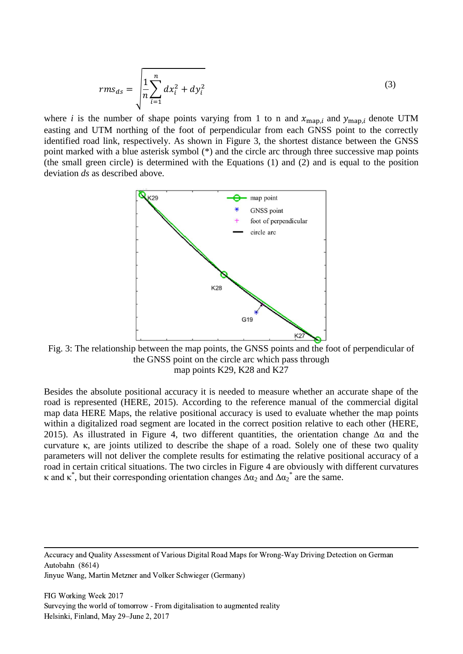$$
rms_{ds} = \sqrt{\frac{1}{n} \sum_{i=1}^{n} dx_i^2 + dy_i^2}
$$
 (3)

where *i* is the number of shape points varying from 1 to n and  $x_{\text{map}, i}$  and  $y_{\text{map}, i}$  denote UTM easting and UTM northing of the foot of perpendicular from each GNSS point to the correctly identified road link, respectively. As shown in Figure 3, the shortest distance between the GNSS point marked with a blue asterisk symbol (\*) and the circle arc through three successive map points (the small green circle) is determined with the Equations (1) and (2) and is equal to the position deviation *ds* as described above.



Fig. 3: The relationship between the map points, the GNSS points and the foot of perpendicular of the GNSS point on the circle arc which pass through map points K29, K28 and K27

Besides the absolute positional accuracy it is needed to measure whether an accurate shape of the road is represented (HERE, 2015). According to the reference manual of the commercial digital map data HERE Maps, the relative positional accuracy is used to evaluate whether the map points within a digitalized road segment are located in the correct position relative to each other (HERE, 2015). As illustrated in Figure 4, two different quantities, the orientation change  $\Delta \alpha$  and the curvature κ, are joints utilized to describe the shape of a road. Solely one of these two quality parameters will not deliver the complete results for estimating the relative positional accuracy of a road in certain critical situations. The two circles in Figure 4 are obviously with different curvatures  $\kappa$  and  $\kappa^*$ , but their corresponding orientation changes  $\Delta\alpha_2$  and  $\Delta\alpha_2^*$  are the same.

Accuracy and Quality Assessment of Various Digital Road Maps for Wrong-Way Driving Detection on German Autobahn (8614)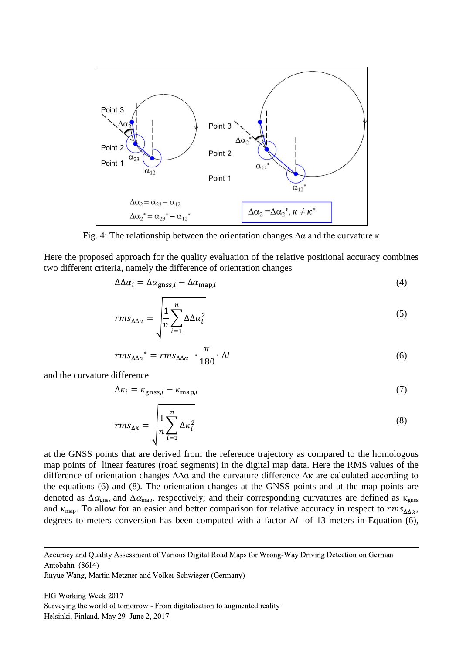

Fig. 4: The relationship between the orientation changes  $\Delta\alpha$  and the curvature κ

Here the proposed approach for the quality evaluation of the relative positional accuracy combines two different criteria, namely the difference of orientation changes

$$
\Delta \Delta \alpha_i = \Delta \alpha_{\text{gnss},i} - \Delta \alpha_{\text{map},i} \tag{4}
$$

$$
rms_{\Delta\Delta\alpha} = \sqrt{\frac{1}{n} \sum_{i=1}^{n} \Delta\Delta\alpha_i^2}
$$
 (5)

$$
rms_{\Delta\Delta\alpha}^* = rms_{\Delta\Delta\alpha} \cdot \frac{\pi}{180} \cdot \Delta l \tag{6}
$$

and the curvature difference

$$
\Delta \kappa_i = \kappa_{\text{gnss},i} - \kappa_{\text{map},i} \tag{7}
$$

$$
rms_{\Delta\kappa} = \sqrt{\frac{1}{n} \sum_{i=1}^{n} \Delta\kappa_i^2}
$$
 (8)

at the GNSS points that are derived from the reference trajectory as compared to the homologous map points of linear features (road segments) in the digital map data. Here the RMS values of the difference of orientation changes ∆∆α and the curvature difference ∆κ are calculated according to the equations (6) and (8). The orientation changes at the GNSS points and at the map points are denoted as  $\Delta\alpha_{\rm ens}$  and  $\Delta\alpha_{\rm man}$ , respectively; and their corresponding curvatures are defined as  $\kappa_{\rm ens}$ and  $\kappa_{\text{map}}$ . To allow for an easier and better comparison for relative accuracy in respect to  $rms_{\Delta\Delta\alpha}$ , degrees to meters conversion has been computed with a factor  $\Delta l$  of 13 meters in Equation (6),

Accuracy and Quality Assessment of Various Digital Road Maps for Wrong-Way Driving Detection on German Autobahn (8614)

Jinyue Wang, Martin Metzner and Volker Schwieger (Germany)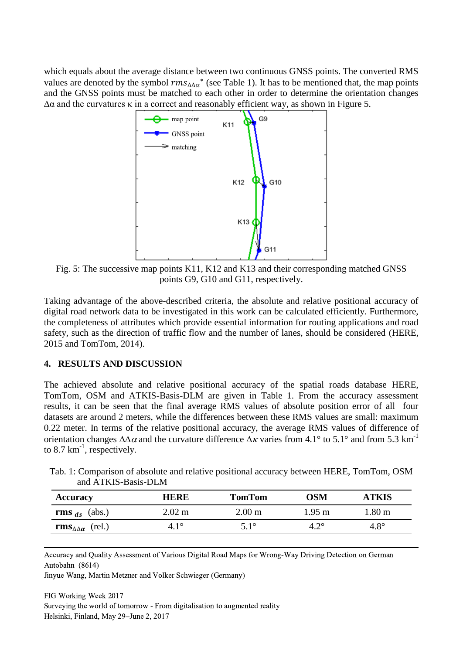which equals about the average distance between two continuous GNSS points. The converted RMS values are denoted by the symbol  $rms_{\Delta\Delta\alpha}$ <sup>\*</sup> (see Table 1). It has to be mentioned that, the map points and the GNSS points must be matched to each other in order to determine the orientation changes  $\Delta\alpha$  and the curvatures  $\kappa$  in a correct and reasonably efficient way, as shown in Figure 5.



Fig. 5: The successive map points K11, K12 and K13 and their corresponding matched GNSS points G9, G10 and G11, respectively.

Taking advantage of the above-described criteria, the absolute and relative positional accuracy of digital road network data to be investigated in this work can be calculated efficiently. Furthermore, the completeness of attributes which provide essential information for routing applications and road safety, such as the direction of traffic flow and the number of lanes, should be considered (HERE, 2015 and TomTom, 2014).

## **4. RESULTS AND DISCUSSION**

The achieved absolute and relative positional accuracy of the spatial roads database HERE, TomTom, OSM and ATKIS-Basis-DLM are given in Table 1. From the accuracy assessment results, it can be seen that the final average RMS values of absolute position error of all four datasets are around 2 meters, while the differences between these RMS values are small: maximum 0.22 meter. In terms of the relative positional accuracy, the average RMS values of difference of orientation changes  $\Delta\Delta\alpha$  and the curvature difference  $\Delta\kappa$  varies from 4.1° to 5.1° and from 5.3 km<sup>-1</sup> to 8.7  $km^{-1}$ , respectively.

| and ATKIS-Basis-DLM |      |               |     |              |
|---------------------|------|---------------|-----|--------------|
| <b>Accuracy</b>     | HERE | <b>TomTom</b> | OSM | <b>ATKIS</b> |

**rms**  $_{ds}$  (abs.) 2.02 m 2.00 m 1.95 m 1.80 m  $\mathbf{rms}_{\Delta\Delta\alpha}$  (rel.) 4.1° 5.1° 4.2° 4.8°

| Tab. 1: Comparison of absolute and relative positional accuracy between HERE, TomTom, OSM |  |  |
|-------------------------------------------------------------------------------------------|--|--|
| and ATKIS-Basis-DLM                                                                       |  |  |

Accuracy and Quality Assessment of Various Digital Road Maps for Wrong-Way Driving Detection on German Autobahn (8614)

Jinyue Wang, Martin Metzner and Volker Schwieger (Germany)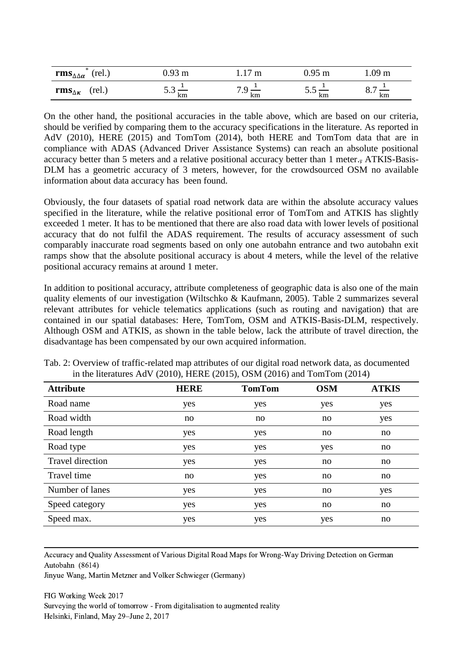| ж.<br>rms $_{\Delta\Delta\alpha}$<br>πeΙ<br>$1 \cup I$ .) | m        | m  | m            | m                                    |
|-----------------------------------------------------------|----------|----|--------------|--------------------------------------|
| rms $_{\Delta K}$<br>rel.)                                | ັ້<br>km | km | ຸນ . ມ<br>km | $\overline{\phantom{0}}$<br>v.<br>km |

On the other hand, the positional accuracies in the table above, which are based on our criteria, should be verified by comparing them to the accuracy specifications in the literature. As reported in AdV (2010), HERE (2015) and TomTom (2014), both HERE and TomTom data that are in compliance with ADAS (Advanced Driver Assistance Systems) can reach an absolute positional accuracy better than 5 meters and a relative positional accuracy better than 1 meter., ATKIS-Basis-DLM has a geometric accuracy of 3 meters, however, for the crowdsourced OSM no available information about data accuracy has been found.

Obviously, the four datasets of spatial road network data are within the absolute accuracy values specified in the literature, while the relative positional error of TomTom and ATKIS has slightly exceeded 1 meter. It has to be mentioned that there are also road data with lower levels of positional accuracy that do not fulfil the ADAS requirement. The results of accuracy assessment of such comparably inaccurate road segments based on only one autobahn entrance and two autobahn exit ramps show that the absolute positional accuracy is about 4 meters, while the level of the relative positional accuracy remains at around 1 meter.

In addition to positional accuracy, attribute completeness of geographic data is also one of the main quality elements of our investigation (Wiltschko & Kaufmann, 2005). Table 2 summarizes several relevant attributes for vehicle telematics applications (such as routing and navigation) that are contained in our spatial databases: Here, TomTom, OSM and ATKIS-Basis-DLM, respectively. Although OSM and ATKIS, as shown in the table below, lack the attribute of travel direction, the disadvantage has been compensated by our own acquired information.

| <b>Attribute</b>        | <b>HERE</b> | <b>TomTom</b> | <b>OSM</b> | <b>ATKIS</b> |
|-------------------------|-------------|---------------|------------|--------------|
| Road name               | yes         | yes           | yes        | yes          |
| Road width              | no          | no            | no         | yes          |
| Road length             | yes         | yes           | no         | no           |
| Road type               | yes         | yes           | yes        | no           |
| <b>Travel direction</b> | yes         | yes           | no         | no           |
| Travel time             | no          | yes           | no         | no           |
| Number of lanes         | yes         | yes           | no         | yes          |
| Speed category          | yes         | yes           | no         | no           |
| Speed max.              | yes         | yes           | yes        | no           |

Tab. 2: Overview of traffic-related map attributes of our digital road network data, as documented in the literatures AdV (2010), HERE (2015), OSM (2016) and TomTom (2014)

Accuracy and Quality Assessment of Various Digital Road Maps for Wrong-Way Driving Detection on German Autobahn (8614)

Jinyue Wang, Martin Metzner and Volker Schwieger (Germany)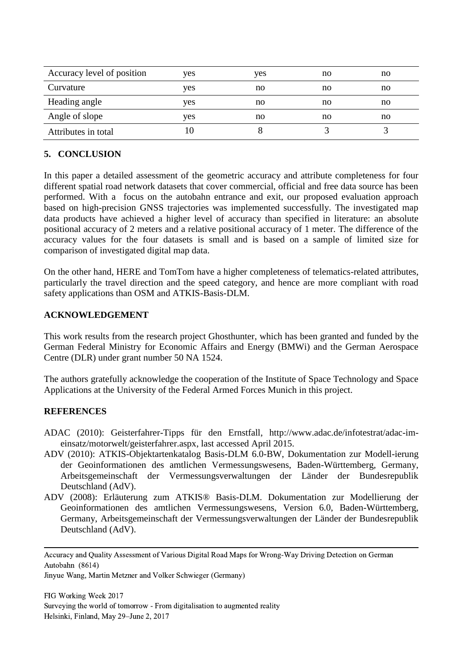| yes | yes | no | no |
|-----|-----|----|----|
| yes | no  | no | no |
| yes | no  | no | no |
| yes | no  | no | no |
|     |     |    |    |
|     |     |    |    |

# **5. CONCLUSION**

In this paper a detailed assessment of the geometric accuracy and attribute completeness for four different spatial road network datasets that cover commercial, official and free data source has been performed. With a focus on the autobahn entrance and exit, our proposed evaluation approach based on high-precision GNSS trajectories was implemented successfully. The investigated map data products have achieved a higher level of accuracy than specified in literature: an absolute positional accuracy of 2 meters and a relative positional accuracy of 1 meter. The difference of the accuracy values for the four datasets is small and is based on a sample of limited size for comparison of investigated digital map data.

On the other hand, HERE and TomTom have a higher completeness of telematics-related attributes, particularly the travel direction and the speed category, and hence are more compliant with road safety applications than OSM and ATKIS-Basis-DLM.

## **ACKNOWLEDGEMENT**

This work results from the research project Ghosthunter, which has been granted and funded by the German Federal Ministry for Economic Affairs and Energy (BMWi) and the German Aerospace Centre (DLR) under grant number 50 NA 1524.

The authors gratefully acknowledge the cooperation of the Institute of Space Technology and Space Applications at the University of the Federal Armed Forces Munich in this project.

## **REFERENCES**

- ADAC (2010): Geisterfahrer-Tipps für den Ernstfall, http://www.adac.de/infotestrat/adac-imeinsatz/motorwelt/geisterfahrer.aspx, last accessed April 2015.
- ADV (2010): ATKIS-Objektartenkatalog Basis-DLM 6.0-BW, Dokumentation zur Modell-ierung der Geoinformationen des amtlichen Vermessungswesens, Baden-Württemberg, Germany, Arbeitsgemeinschaft der Vermessungsverwaltungen der Länder der Bundesrepublik Deutschland (AdV).
- ADV (2008): Erläuterung zum ATKIS® Basis-DLM. Dokumentation zur Modellierung der Geoinformationen des amtlichen Vermessungswesens, Version 6.0, Baden-Württemberg, Germany, Arbeitsgemeinschaft der Vermessungsverwaltungen der Länder der Bundesrepublik Deutschland (AdV).

Accuracy and Quality Assessment of Various Digital Road Maps for Wrong-Way Driving Detection on German Autobahn (8614)

Jinyue Wang, Martin Metzner and Volker Schwieger (Germany)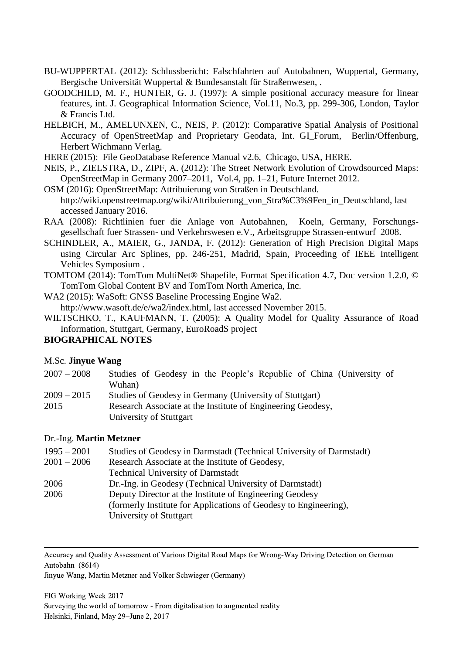- BU-WUPPERTAL (2012): Schlussbericht: Falschfahrten auf Autobahnen, Wuppertal, Germany, Bergische Universität Wuppertal & Bundesanstalt für Straßenwesen, .
- GOODCHILD, M. F., HUNTER, G. J. (1997): A simple positional accuracy measure for linear features, int. J. Geographical Information Science, Vol.11, No.3, pp. 299-306, London, Taylor & Francis Ltd.
- HELBICH, M., AMELUNXEN, C., NEIS, P. (2012): Comparative Spatial Analysis of Positional Accuracy of OpenStreetMap and Proprietary Geodata, Int. GI\_Forum, Berlin/Offenburg, Herbert Wichmann Verlag.
- HERE (2015): File GeoDatabase Reference Manual v2.6, Chicago, USA, HERE.
- NEIS, P., ZIELSTRA, D., ZIPF, A. (2012): The Street Network Evolution of Crowdsourced Maps: OpenStreetMap in Germany 2007–2011, Vol.4, pp. 1–21, Future Internet 2012.
- OSM (2016): OpenStreetMap: Attribuierung von Straßen in Deutschland. http://wiki.openstreetmap.org/wiki/Attribuierung\_von\_Stra%C3%9Fen\_in\_Deutschland, last accessed January 2016.
- RAA (2008): Richtlinien fuer die Anlage von Autobahnen, Koeln, Germany, Forschungsgesellschaft fuer Strassen- und Verkehrswesen e.V., Arbeitsgruppe Strassen-entwurf 2008.
- SCHINDLER, A., MAIER, G., JANDA, F. (2012): Generation of High Precision Digital Maps using Circular Arc Splines, pp. 246-251, Madrid, Spain, Proceeding of IEEE Intelligent Vehicles Symposium .
- TOMTOM (2014): TomTom MultiNet® Shapefile, Format Specification 4.7, Doc version 1.2.0, © TomTom Global Content BV and TomTom North America, Inc.
- WA2 (2015): WaSoft: GNSS Baseline Processing Engine Wa2.
- http://www.wasoft.de/e/wa2/index.html, last accessed November 2015.
- WILTSCHKO, T., KAUFMANN, T. (2005): A Quality Model for Quality Assurance of Road Information, Stuttgart, Germany, EuroRoadS project

## **BIOGRAPHICAL NOTES**

#### M.Sc. **Jinyue Wang**

- 2007 2008 Studies of Geodesy in the People's Republic of China (University of Wuhan)
- 2009 2015 Studies of Geodesy in Germany (University of Stuttgart)
- 2015 Research Associate at the Institute of Engineering Geodesy, University of Stuttgart

#### Dr.-Ing. **Martin Metzner**

| $1995 - 2001$ | Studies of Geodesy in Darmstadt (Technical University of Darmstadt) |
|---------------|---------------------------------------------------------------------|
| $2001 - 2006$ | Research Associate at the Institute of Geodesy,                     |
|               | <b>Technical University of Darmstadt</b>                            |
| 2006          | Dr.-Ing. in Geodesy (Technical University of Darmstadt)             |
| 2006          | Deputy Director at the Institute of Engineering Geodesy             |
|               | (formerly Institute for Applications of Geodesy to Engineering),    |
|               | University of Stuttgart                                             |

Accuracy and Quality Assessment of Various Digital Road Maps for Wrong-Way Driving Detection on German Autobahn (8614)

Jinyue Wang, Martin Metzner and Volker Schwieger (Germany)